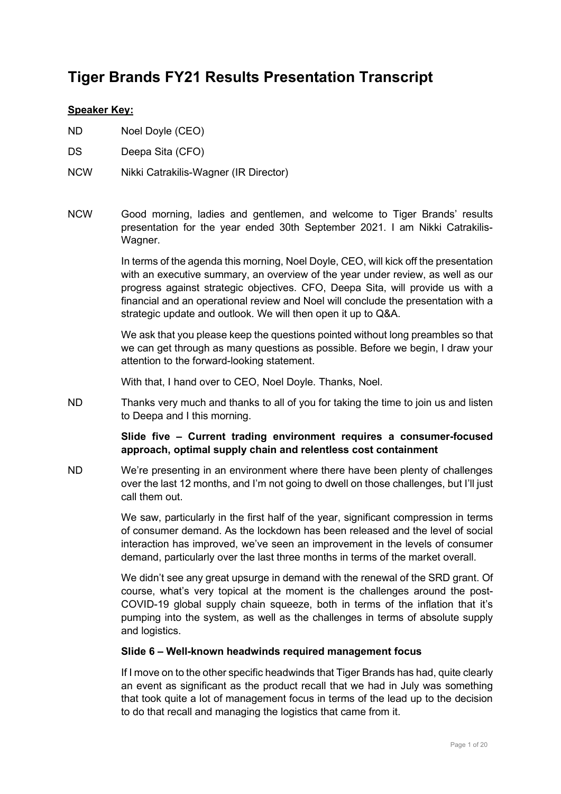# **Tiger Brands FY21 Results Presentation Transcript**

#### **Speaker Key:**

- ND Noel Doyle (CEO)
- DS Deepa Sita (CFO)
- NCW Nikki Catrakilis-Wagner (IR Director)
- NCW Good morning, ladies and gentlemen, and welcome to Tiger Brands' results presentation for the year ended 30th September 2021. I am Nikki Catrakilis-Wagner.

In terms of the agenda this morning, Noel Doyle, CEO, will kick off the presentation with an executive summary, an overview of the year under review, as well as our progress against strategic objectives. CFO, Deepa Sita, will provide us with a financial and an operational review and Noel will conclude the presentation with a strategic update and outlook. We will then open it up to Q&A.

We ask that you please keep the questions pointed without long preambles so that we can get through as many questions as possible. Before we begin, I draw your attention to the forward-looking statement.

With that, I hand over to CEO, Noel Doyle. Thanks, Noel.

ND Thanks very much and thanks to all of you for taking the time to join us and listen to Deepa and I this morning.

#### **Slide five – Current trading environment requires a consumer-focused approach, optimal supply chain and relentless cost containment**

ND We're presenting in an environment where there have been plenty of challenges over the last 12 months, and I'm not going to dwell on those challenges, but I'll just call them out.

> We saw, particularly in the first half of the year, significant compression in terms of consumer demand. As the lockdown has been released and the level of social interaction has improved, we've seen an improvement in the levels of consumer demand, particularly over the last three months in terms of the market overall.

> We didn't see any great upsurge in demand with the renewal of the SRD grant. Of course, what's very topical at the moment is the challenges around the post-COVID-19 global supply chain squeeze, both in terms of the inflation that it's pumping into the system, as well as the challenges in terms of absolute supply and logistics.

#### **Slide 6 – Well-known headwinds required management focus**

If I move on to the other specific headwinds that Tiger Brands has had, quite clearly an event as significant as the product recall that we had in July was something that took quite a lot of management focus in terms of the lead up to the decision to do that recall and managing the logistics that came from it.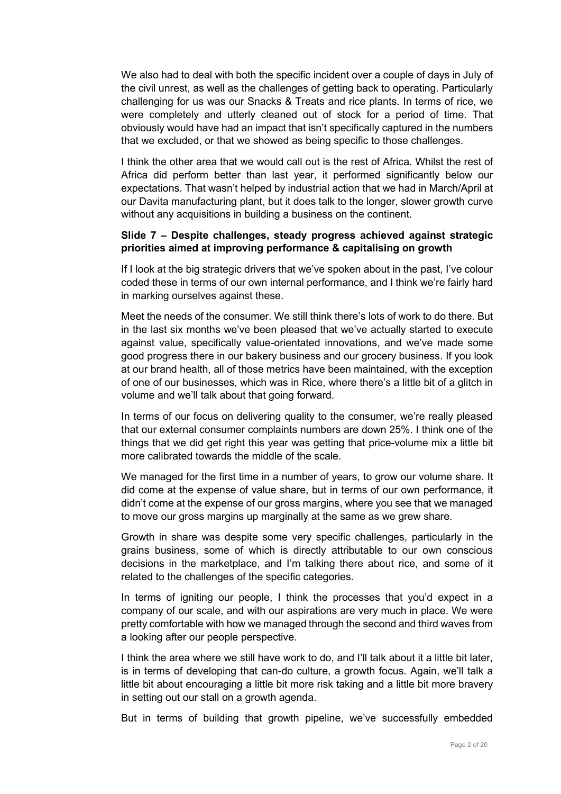We also had to deal with both the specific incident over a couple of days in July of the civil unrest, as well as the challenges of getting back to operating. Particularly challenging for us was our Snacks & Treats and rice plants. In terms of rice, we were completely and utterly cleaned out of stock for a period of time. That obviously would have had an impact that isn't specifically captured in the numbers that we excluded, or that we showed as being specific to those challenges.

I think the other area that we would call out is the rest of Africa. Whilst the rest of Africa did perform better than last year, it performed significantly below our expectations. That wasn't helped by industrial action that we had in March/April at our Davita manufacturing plant, but it does talk to the longer, slower growth curve without any acquisitions in building a business on the continent.

#### **Slide 7 – Despite challenges, steady progress achieved against strategic priorities aimed at improving performance & capitalising on growth**

If I look at the big strategic drivers that we've spoken about in the past, I've colour coded these in terms of our own internal performance, and I think we're fairly hard in marking ourselves against these.

Meet the needs of the consumer. We still think there's lots of work to do there. But in the last six months we've been pleased that we've actually started to execute against value, specifically value-orientated innovations, and we've made some good progress there in our bakery business and our grocery business. If you look at our brand health, all of those metrics have been maintained, with the exception of one of our businesses, which was in Rice, where there's a little bit of a glitch in volume and we'll talk about that going forward.

In terms of our focus on delivering quality to the consumer, we're really pleased that our external consumer complaints numbers are down 25%. I think one of the things that we did get right this year was getting that price-volume mix a little bit more calibrated towards the middle of the scale.

We managed for the first time in a number of years, to grow our volume share. It did come at the expense of value share, but in terms of our own performance, it didn't come at the expense of our gross margins, where you see that we managed to move our gross margins up marginally at the same as we grew share.

Growth in share was despite some very specific challenges, particularly in the grains business, some of which is directly attributable to our own conscious decisions in the marketplace, and I'm talking there about rice, and some of it related to the challenges of the specific categories.

In terms of igniting our people, I think the processes that you'd expect in a company of our scale, and with our aspirations are very much in place. We were pretty comfortable with how we managed through the second and third waves from a looking after our people perspective.

I think the area where we still have work to do, and I'll talk about it a little bit later, is in terms of developing that can-do culture, a growth focus. Again, we'll talk a little bit about encouraging a little bit more risk taking and a little bit more bravery in setting out our stall on a growth agenda.

But in terms of building that growth pipeline, we've successfully embedded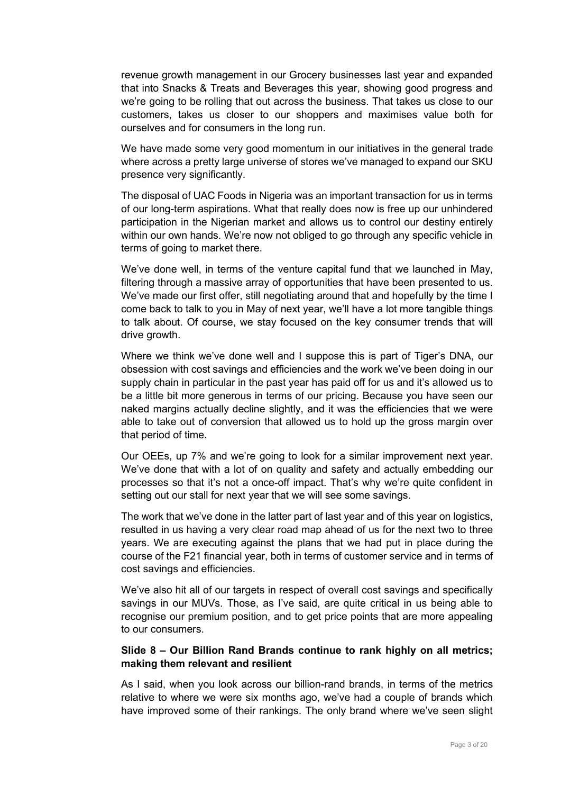revenue growth management in our Grocery businesses last year and expanded that into Snacks & Treats and Beverages this year, showing good progress and we're going to be rolling that out across the business. That takes us close to our customers, takes us closer to our shoppers and maximises value both for ourselves and for consumers in the long run.

We have made some very good momentum in our initiatives in the general trade where across a pretty large universe of stores we've managed to expand our SKU presence very significantly.

The disposal of UAC Foods in Nigeria was an important transaction for us in terms of our long-term aspirations. What that really does now is free up our unhindered participation in the Nigerian market and allows us to control our destiny entirely within our own hands. We're now not obliged to go through any specific vehicle in terms of going to market there.

We've done well, in terms of the venture capital fund that we launched in May, filtering through a massive array of opportunities that have been presented to us. We've made our first offer, still negotiating around that and hopefully by the time I come back to talk to you in May of next year, we'll have a lot more tangible things to talk about. Of course, we stay focused on the key consumer trends that will drive growth.

Where we think we've done well and I suppose this is part of Tiger's DNA, our obsession with cost savings and efficiencies and the work we've been doing in our supply chain in particular in the past year has paid off for us and it's allowed us to be a little bit more generous in terms of our pricing. Because you have seen our naked margins actually decline slightly, and it was the efficiencies that we were able to take out of conversion that allowed us to hold up the gross margin over that period of time.

Our OEEs, up 7% and we're going to look for a similar improvement next year. We've done that with a lot of on quality and safety and actually embedding our processes so that it's not a once-off impact. That's why we're quite confident in setting out our stall for next year that we will see some savings.

The work that we've done in the latter part of last year and of this year on logistics, resulted in us having a very clear road map ahead of us for the next two to three years. We are executing against the plans that we had put in place during the course of the F21 financial year, both in terms of customer service and in terms of cost savings and efficiencies.

We've also hit all of our targets in respect of overall cost savings and specifically savings in our MUVs. Those, as I've said, are quite critical in us being able to recognise our premium position, and to get price points that are more appealing to our consumers.

#### **Slide 8 – Our Billion Rand Brands continue to rank highly on all metrics; making them relevant and resilient**

As I said, when you look across our billion-rand brands, in terms of the metrics relative to where we were six months ago, we've had a couple of brands which have improved some of their rankings. The only brand where we've seen slight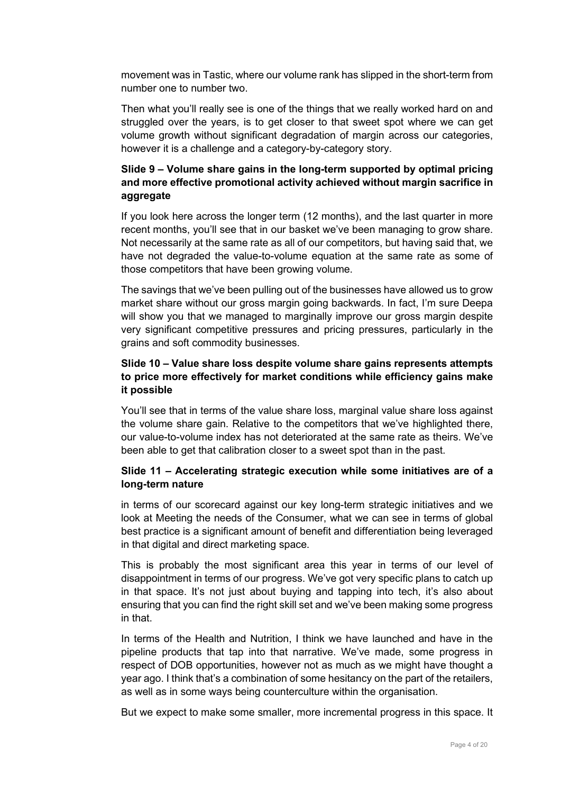movement was in Tastic, where our volume rank has slipped in the short-term from number one to number two.

Then what you'll really see is one of the things that we really worked hard on and struggled over the years, is to get closer to that sweet spot where we can get volume growth without significant degradation of margin across our categories, however it is a challenge and a category-by-category story.

# **Slide 9 – Volume share gains in the long-term supported by optimal pricing and more effective promotional activity achieved without margin sacrifice in aggregate**

If you look here across the longer term (12 months), and the last quarter in more recent months, you'll see that in our basket we've been managing to grow share. Not necessarily at the same rate as all of our competitors, but having said that, we have not degraded the value-to-volume equation at the same rate as some of those competitors that have been growing volume.

The savings that we've been pulling out of the businesses have allowed us to grow market share without our gross margin going backwards. In fact, I'm sure Deepa will show you that we managed to marginally improve our gross margin despite very significant competitive pressures and pricing pressures, particularly in the grains and soft commodity businesses.

## **Slide 10 – Value share loss despite volume share gains represents attempts to price more effectively for market conditions while efficiency gains make it possible**

You'll see that in terms of the value share loss, marginal value share loss against the volume share gain. Relative to the competitors that we've highlighted there, our value-to-volume index has not deteriorated at the same rate as theirs. We've been able to get that calibration closer to a sweet spot than in the past.

# **Slide 11 – Accelerating strategic execution while some initiatives are of a long-term nature**

in terms of our scorecard against our key long-term strategic initiatives and we look at Meeting the needs of the Consumer, what we can see in terms of global best practice is a significant amount of benefit and differentiation being leveraged in that digital and direct marketing space.

This is probably the most significant area this year in terms of our level of disappointment in terms of our progress. We've got very specific plans to catch up in that space. It's not just about buying and tapping into tech, it's also about ensuring that you can find the right skill set and we've been making some progress in that.

In terms of the Health and Nutrition, I think we have launched and have in the pipeline products that tap into that narrative. We've made, some progress in respect of DOB opportunities, however not as much as we might have thought a year ago. I think that's a combination of some hesitancy on the part of the retailers, as well as in some ways being counterculture within the organisation.

But we expect to make some smaller, more incremental progress in this space. It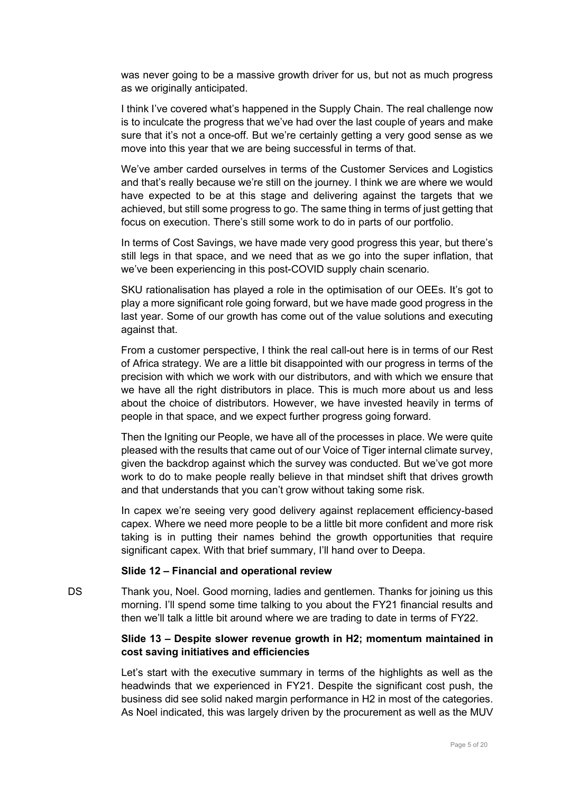was never going to be a massive growth driver for us, but not as much progress as we originally anticipated.

I think I've covered what's happened in the Supply Chain. The real challenge now is to inculcate the progress that we've had over the last couple of years and make sure that it's not a once-off. But we're certainly getting a very good sense as we move into this year that we are being successful in terms of that.

We've amber carded ourselves in terms of the Customer Services and Logistics and that's really because we're still on the journey. I think we are where we would have expected to be at this stage and delivering against the targets that we achieved, but still some progress to go. The same thing in terms of just getting that focus on execution. There's still some work to do in parts of our portfolio.

In terms of Cost Savings, we have made very good progress this year, but there's still legs in that space, and we need that as we go into the super inflation, that we've been experiencing in this post-COVID supply chain scenario.

SKU rationalisation has played a role in the optimisation of our OEEs. It's got to play a more significant role going forward, but we have made good progress in the last year. Some of our growth has come out of the value solutions and executing against that.

From a customer perspective, I think the real call-out here is in terms of our Rest of Africa strategy. We are a little bit disappointed with our progress in terms of the precision with which we work with our distributors, and with which we ensure that we have all the right distributors in place. This is much more about us and less about the choice of distributors. However, we have invested heavily in terms of people in that space, and we expect further progress going forward.

Then the Igniting our People, we have all of the processes in place. We were quite pleased with the results that came out of our Voice of Tiger internal climate survey, given the backdrop against which the survey was conducted. But we've got more work to do to make people really believe in that mindset shift that drives growth and that understands that you can't grow without taking some risk.

In capex we're seeing very good delivery against replacement efficiency-based capex. Where we need more people to be a little bit more confident and more risk taking is in putting their names behind the growth opportunities that require significant capex. With that brief summary, I'll hand over to Deepa.

#### **Slide 12 – Financial and operational review**

DS Thank you, Noel. Good morning, ladies and gentlemen. Thanks for joining us this morning. I'll spend some time talking to you about the FY21 financial results and then we'll talk a little bit around where we are trading to date in terms of FY22.

#### **Slide 13 – Despite slower revenue growth in H2; momentum maintained in cost saving initiatives and efficiencies**

Let's start with the executive summary in terms of the highlights as well as the headwinds that we experienced in FY21. Despite the significant cost push, the business did see solid naked margin performance in H2 in most of the categories. As Noel indicated, this was largely driven by the procurement as well as the MUV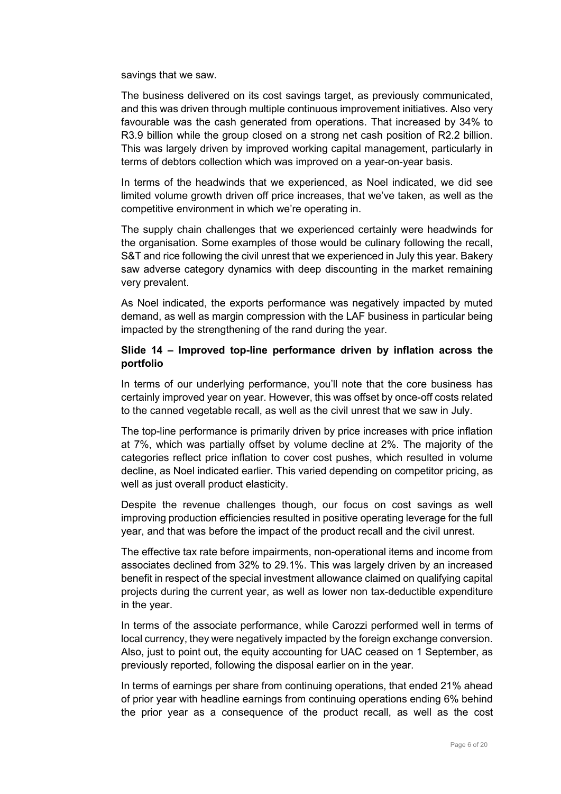savings that we saw.

The business delivered on its cost savings target, as previously communicated, and this was driven through multiple continuous improvement initiatives. Also very favourable was the cash generated from operations. That increased by 34% to R3.9 billion while the group closed on a strong net cash position of R2.2 billion. This was largely driven by improved working capital management, particularly in terms of debtors collection which was improved on a year-on-year basis.

In terms of the headwinds that we experienced, as Noel indicated, we did see limited volume growth driven off price increases, that we've taken, as well as the competitive environment in which we're operating in.

The supply chain challenges that we experienced certainly were headwinds for the organisation. Some examples of those would be culinary following the recall, S&T and rice following the civil unrest that we experienced in July this year. Bakery saw adverse category dynamics with deep discounting in the market remaining very prevalent.

As Noel indicated, the exports performance was negatively impacted by muted demand, as well as margin compression with the LAF business in particular being impacted by the strengthening of the rand during the year.

#### **Slide 14 – Improved top-line performance driven by inflation across the portfolio**

In terms of our underlying performance, you'll note that the core business has certainly improved year on year. However, this was offset by once-off costs related to the canned vegetable recall, as well as the civil unrest that we saw in July.

The top-line performance is primarily driven by price increases with price inflation at 7%, which was partially offset by volume decline at 2%. The majority of the categories reflect price inflation to cover cost pushes, which resulted in volume decline, as Noel indicated earlier. This varied depending on competitor pricing, as well as just overall product elasticity.

Despite the revenue challenges though, our focus on cost savings as well improving production efficiencies resulted in positive operating leverage for the full year, and that was before the impact of the product recall and the civil unrest.

The effective tax rate before impairments, non-operational items and income from associates declined from 32% to 29.1%. This was largely driven by an increased benefit in respect of the special investment allowance claimed on qualifying capital projects during the current year, as well as lower non tax-deductible expenditure in the year.

In terms of the associate performance, while Carozzi performed well in terms of local currency, they were negatively impacted by the foreign exchange conversion. Also, just to point out, the equity accounting for UAC ceased on 1 September, as previously reported, following the disposal earlier on in the year.

In terms of earnings per share from continuing operations, that ended 21% ahead of prior year with headline earnings from continuing operations ending 6% behind the prior year as a consequence of the product recall, as well as the cost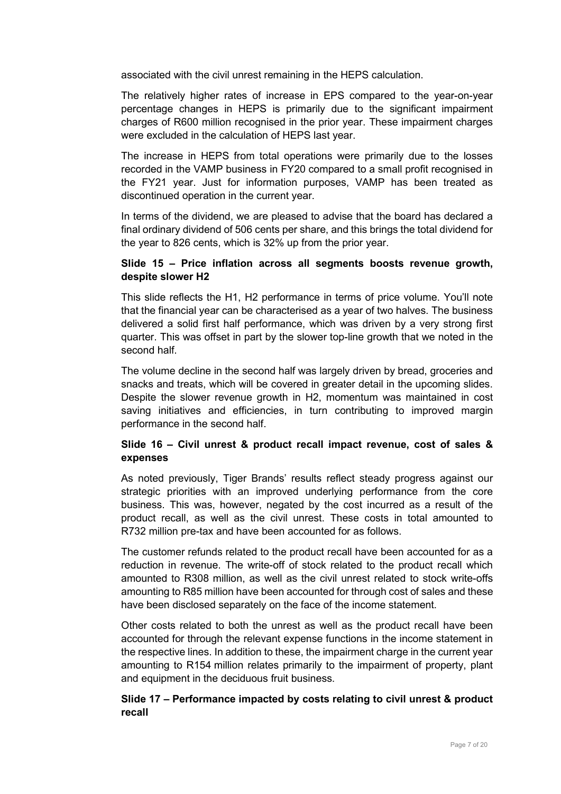associated with the civil unrest remaining in the HEPS calculation.

The relatively higher rates of increase in EPS compared to the year-on-year percentage changes in HEPS is primarily due to the significant impairment charges of R600 million recognised in the prior year. These impairment charges were excluded in the calculation of HEPS last year.

The increase in HEPS from total operations were primarily due to the losses recorded in the VAMP business in FY20 compared to a small profit recognised in the FY21 year. Just for information purposes, VAMP has been treated as discontinued operation in the current year.

In terms of the dividend, we are pleased to advise that the board has declared a final ordinary dividend of 506 cents per share, and this brings the total dividend for the year to 826 cents, which is 32% up from the prior year.

## **Slide 15 – Price inflation across all segments boosts revenue growth, despite slower H2**

This slide reflects the H1, H2 performance in terms of price volume. You'll note that the financial year can be characterised as a year of two halves. The business delivered a solid first half performance, which was driven by a very strong first quarter. This was offset in part by the slower top-line growth that we noted in the second half.

The volume decline in the second half was largely driven by bread, groceries and snacks and treats, which will be covered in greater detail in the upcoming slides. Despite the slower revenue growth in H2, momentum was maintained in cost saving initiatives and efficiencies, in turn contributing to improved margin performance in the second half.

## **Slide 16 – Civil unrest & product recall impact revenue, cost of sales & expenses**

As noted previously, Tiger Brands' results reflect steady progress against our strategic priorities with an improved underlying performance from the core business. This was, however, negated by the cost incurred as a result of the product recall, as well as the civil unrest. These costs in total amounted to R732 million pre-tax and have been accounted for as follows.

The customer refunds related to the product recall have been accounted for as a reduction in revenue. The write-off of stock related to the product recall which amounted to R308 million, as well as the civil unrest related to stock write-offs amounting to R85 million have been accounted for through cost of sales and these have been disclosed separately on the face of the income statement.

Other costs related to both the unrest as well as the product recall have been accounted for through the relevant expense functions in the income statement in the respective lines. In addition to these, the impairment charge in the current year amounting to R154 million relates primarily to the impairment of property, plant and equipment in the deciduous fruit business.

## **Slide 17 – Performance impacted by costs relating to civil unrest & product recall**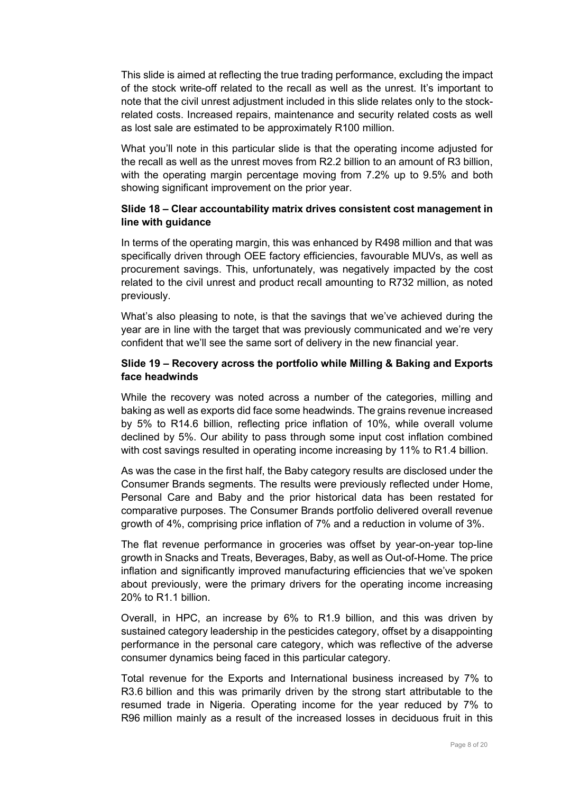This slide is aimed at reflecting the true trading performance, excluding the impact of the stock write-off related to the recall as well as the unrest. It's important to note that the civil unrest adjustment included in this slide relates only to the stockrelated costs. Increased repairs, maintenance and security related costs as well as lost sale are estimated to be approximately R100 million.

What you'll note in this particular slide is that the operating income adjusted for the recall as well as the unrest moves from R2.2 billion to an amount of R3 billion, with the operating margin percentage moving from 7.2% up to 9.5% and both showing significant improvement on the prior year.

## **Slide 18 – Clear accountability matrix drives consistent cost management in line with guidance**

In terms of the operating margin, this was enhanced by R498 million and that was specifically driven through OEE factory efficiencies, favourable MUVs, as well as procurement savings. This, unfortunately, was negatively impacted by the cost related to the civil unrest and product recall amounting to R732 million, as noted previously.

What's also pleasing to note, is that the savings that we've achieved during the year are in line with the target that was previously communicated and we're very confident that we'll see the same sort of delivery in the new financial year.

#### **Slide 19 – Recovery across the portfolio while Milling & Baking and Exports face headwinds**

While the recovery was noted across a number of the categories, milling and baking as well as exports did face some headwinds. The grains revenue increased by 5% to R14.6 billion, reflecting price inflation of 10%, while overall volume declined by 5%. Our ability to pass through some input cost inflation combined with cost savings resulted in operating income increasing by 11% to R1.4 billion.

As was the case in the first half, the Baby category results are disclosed under the Consumer Brands segments. The results were previously reflected under Home, Personal Care and Baby and the prior historical data has been restated for comparative purposes. The Consumer Brands portfolio delivered overall revenue growth of 4%, comprising price inflation of 7% and a reduction in volume of 3%.

The flat revenue performance in groceries was offset by year-on-year top-line growth in Snacks and Treats, Beverages, Baby, as well as Out-of-Home. The price inflation and significantly improved manufacturing efficiencies that we've spoken about previously, were the primary drivers for the operating income increasing 20% to R1.1 billion.

Overall, in HPC, an increase by 6% to R1.9 billion, and this was driven by sustained category leadership in the pesticides category, offset by a disappointing performance in the personal care category, which was reflective of the adverse consumer dynamics being faced in this particular category.

Total revenue for the Exports and International business increased by 7% to R3.6 billion and this was primarily driven by the strong start attributable to the resumed trade in Nigeria. Operating income for the year reduced by 7% to R96 million mainly as a result of the increased losses in deciduous fruit in this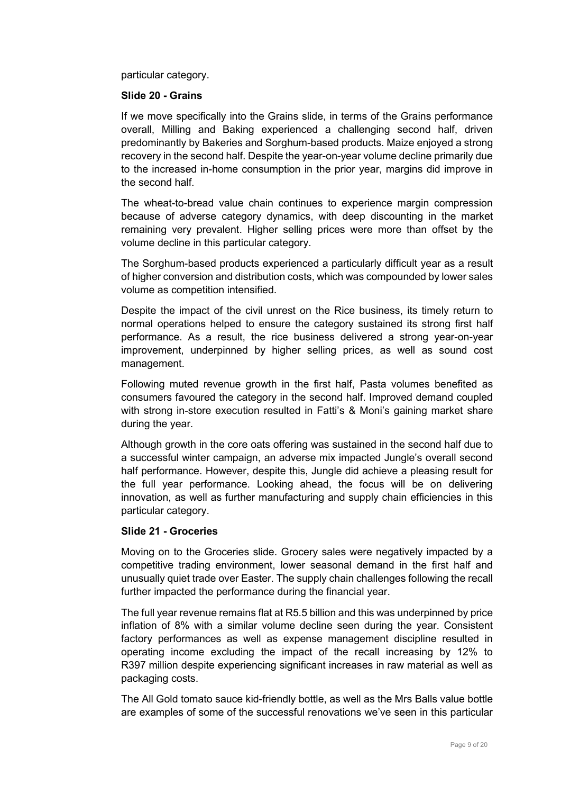particular category.

#### **Slide 20 - Grains**

If we move specifically into the Grains slide, in terms of the Grains performance overall, Milling and Baking experienced a challenging second half, driven predominantly by Bakeries and Sorghum-based products. Maize enjoyed a strong recovery in the second half. Despite the year-on-year volume decline primarily due to the increased in-home consumption in the prior year, margins did improve in the second half.

The wheat-to-bread value chain continues to experience margin compression because of adverse category dynamics, with deep discounting in the market remaining very prevalent. Higher selling prices were more than offset by the volume decline in this particular category.

The Sorghum-based products experienced a particularly difficult year as a result of higher conversion and distribution costs, which was compounded by lower sales volume as competition intensified.

Despite the impact of the civil unrest on the Rice business, its timely return to normal operations helped to ensure the category sustained its strong first half performance. As a result, the rice business delivered a strong year-on-year improvement, underpinned by higher selling prices, as well as sound cost management.

Following muted revenue growth in the first half, Pasta volumes benefited as consumers favoured the category in the second half. Improved demand coupled with strong in-store execution resulted in Fatti's & Moni's gaining market share during the year.

Although growth in the core oats offering was sustained in the second half due to a successful winter campaign, an adverse mix impacted Jungle's overall second half performance. However, despite this, Jungle did achieve a pleasing result for the full year performance. Looking ahead, the focus will be on delivering innovation, as well as further manufacturing and supply chain efficiencies in this particular category.

#### **Slide 21 - Groceries**

Moving on to the Groceries slide. Grocery sales were negatively impacted by a competitive trading environment, lower seasonal demand in the first half and unusually quiet trade over Easter. The supply chain challenges following the recall further impacted the performance during the financial year.

The full year revenue remains flat at R5.5 billion and this was underpinned by price inflation of 8% with a similar volume decline seen during the year. Consistent factory performances as well as expense management discipline resulted in operating income excluding the impact of the recall increasing by 12% to R397 million despite experiencing significant increases in raw material as well as packaging costs.

The All Gold tomato sauce kid-friendly bottle, as well as the Mrs Balls value bottle are examples of some of the successful renovations we've seen in this particular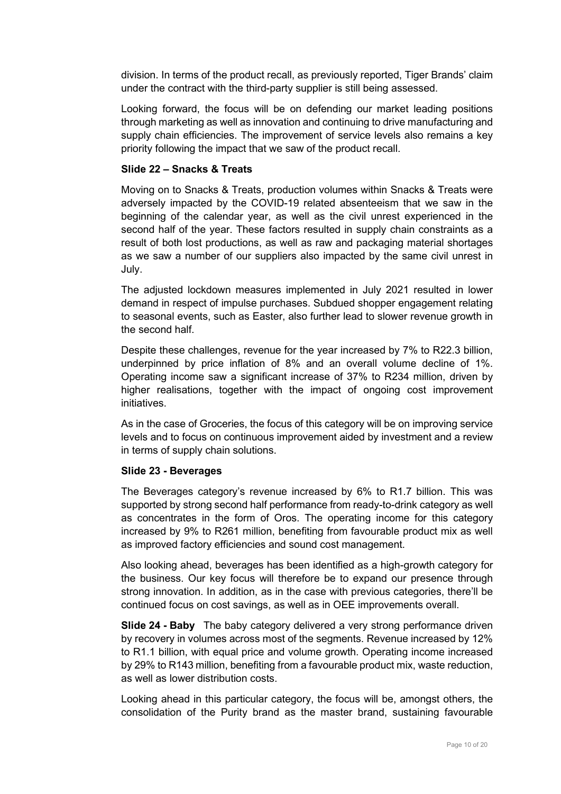division. In terms of the product recall, as previously reported, Tiger Brands' claim under the contract with the third-party supplier is still being assessed.

Looking forward, the focus will be on defending our market leading positions through marketing as well as innovation and continuing to drive manufacturing and supply chain efficiencies. The improvement of service levels also remains a key priority following the impact that we saw of the product recall.

#### **Slide 22 – Snacks & Treats**

Moving on to Snacks & Treats, production volumes within Snacks & Treats were adversely impacted by the COVID-19 related absenteeism that we saw in the beginning of the calendar year, as well as the civil unrest experienced in the second half of the year. These factors resulted in supply chain constraints as a result of both lost productions, as well as raw and packaging material shortages as we saw a number of our suppliers also impacted by the same civil unrest in July.

The adjusted lockdown measures implemented in July 2021 resulted in lower demand in respect of impulse purchases. Subdued shopper engagement relating to seasonal events, such as Easter, also further lead to slower revenue growth in the second half.

Despite these challenges, revenue for the year increased by 7% to R22.3 billion, underpinned by price inflation of 8% and an overall volume decline of 1%. Operating income saw a significant increase of 37% to R234 million, driven by higher realisations, together with the impact of ongoing cost improvement initiatives.

As in the case of Groceries, the focus of this category will be on improving service levels and to focus on continuous improvement aided by investment and a review in terms of supply chain solutions.

#### **Slide 23 - Beverages**

The Beverages category's revenue increased by 6% to R1.7 billion. This was supported by strong second half performance from ready-to-drink category as well as concentrates in the form of Oros. The operating income for this category increased by 9% to R261 million, benefiting from favourable product mix as well as improved factory efficiencies and sound cost management.

Also looking ahead, beverages has been identified as a high-growth category for the business. Our key focus will therefore be to expand our presence through strong innovation. In addition, as in the case with previous categories, there'll be continued focus on cost savings, as well as in OEE improvements overall.

**Slide 24 - Baby** The baby category delivered a very strong performance driven by recovery in volumes across most of the segments. Revenue increased by 12% to R1.1 billion, with equal price and volume growth. Operating income increased by 29% to R143 million, benefiting from a favourable product mix, waste reduction, as well as lower distribution costs.

Looking ahead in this particular category, the focus will be, amongst others, the consolidation of the Purity brand as the master brand, sustaining favourable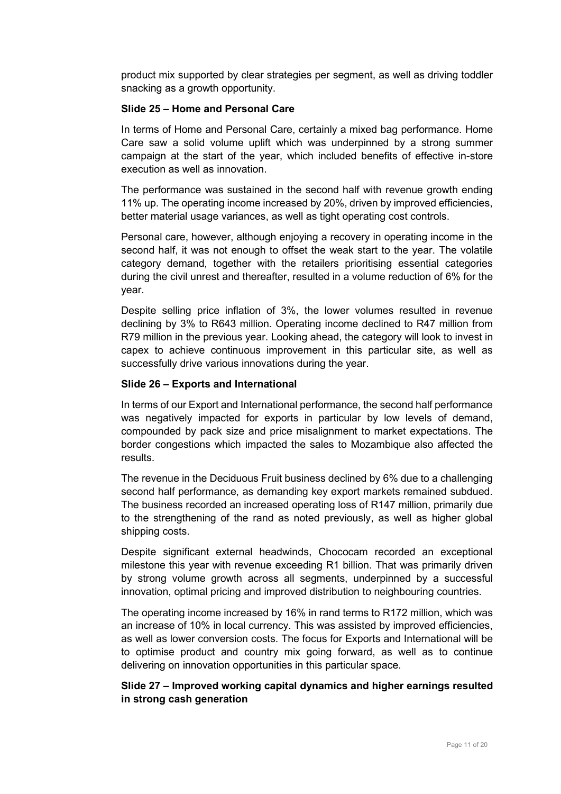product mix supported by clear strategies per segment, as well as driving toddler snacking as a growth opportunity.

#### **Slide 25 – Home and Personal Care**

In terms of Home and Personal Care, certainly a mixed bag performance. Home Care saw a solid volume uplift which was underpinned by a strong summer campaign at the start of the year, which included benefits of effective in-store execution as well as innovation.

The performance was sustained in the second half with revenue growth ending 11% up. The operating income increased by 20%, driven by improved efficiencies, better material usage variances, as well as tight operating cost controls.

Personal care, however, although enjoying a recovery in operating income in the second half, it was not enough to offset the weak start to the year. The volatile category demand, together with the retailers prioritising essential categories during the civil unrest and thereafter, resulted in a volume reduction of 6% for the year.

Despite selling price inflation of 3%, the lower volumes resulted in revenue declining by 3% to R643 million. Operating income declined to R47 million from R79 million in the previous year. Looking ahead, the category will look to invest in capex to achieve continuous improvement in this particular site, as well as successfully drive various innovations during the year.

#### **Slide 26 – Exports and International**

In terms of our Export and International performance, the second half performance was negatively impacted for exports in particular by low levels of demand, compounded by pack size and price misalignment to market expectations. The border congestions which impacted the sales to Mozambique also affected the results.

The revenue in the Deciduous Fruit business declined by 6% due to a challenging second half performance, as demanding key export markets remained subdued. The business recorded an increased operating loss of R147 million, primarily due to the strengthening of the rand as noted previously, as well as higher global shipping costs.

Despite significant external headwinds, Chococam recorded an exceptional milestone this year with revenue exceeding R1 billion. That was primarily driven by strong volume growth across all segments, underpinned by a successful innovation, optimal pricing and improved distribution to neighbouring countries.

The operating income increased by 16% in rand terms to R172 million, which was an increase of 10% in local currency. This was assisted by improved efficiencies, as well as lower conversion costs. The focus for Exports and International will be to optimise product and country mix going forward, as well as to continue delivering on innovation opportunities in this particular space.

## **Slide 27 – Improved working capital dynamics and higher earnings resulted in strong cash generation**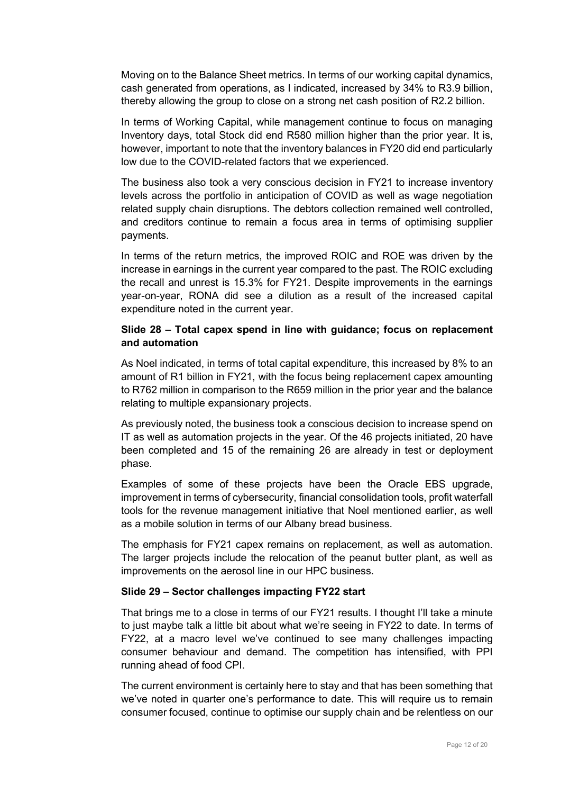Moving on to the Balance Sheet metrics. In terms of our working capital dynamics, cash generated from operations, as I indicated, increased by 34% to R3.9 billion, thereby allowing the group to close on a strong net cash position of R2.2 billion.

In terms of Working Capital, while management continue to focus on managing Inventory days, total Stock did end R580 million higher than the prior year. It is, however, important to note that the inventory balances in FY20 did end particularly low due to the COVID-related factors that we experienced.

The business also took a very conscious decision in FY21 to increase inventory levels across the portfolio in anticipation of COVID as well as wage negotiation related supply chain disruptions. The debtors collection remained well controlled, and creditors continue to remain a focus area in terms of optimising supplier payments.

In terms of the return metrics, the improved ROIC and ROE was driven by the increase in earnings in the current year compared to the past. The ROIC excluding the recall and unrest is 15.3% for FY21. Despite improvements in the earnings year-on-year, RONA did see a dilution as a result of the increased capital expenditure noted in the current year.

#### **Slide 28 – Total capex spend in line with guidance; focus on replacement and automation**

As Noel indicated, in terms of total capital expenditure, this increased by 8% to an amount of R1 billion in FY21, with the focus being replacement capex amounting to R762 million in comparison to the R659 million in the prior year and the balance relating to multiple expansionary projects.

As previously noted, the business took a conscious decision to increase spend on IT as well as automation projects in the year. Of the 46 projects initiated, 20 have been completed and 15 of the remaining 26 are already in test or deployment phase.

Examples of some of these projects have been the Oracle EBS upgrade, improvement in terms of cybersecurity, financial consolidation tools, profit waterfall tools for the revenue management initiative that Noel mentioned earlier, as well as a mobile solution in terms of our Albany bread business.

The emphasis for FY21 capex remains on replacement, as well as automation. The larger projects include the relocation of the peanut butter plant, as well as improvements on the aerosol line in our HPC business.

#### **Slide 29 – Sector challenges impacting FY22 start**

That brings me to a close in terms of our FY21 results. I thought I'll take a minute to just maybe talk a little bit about what we're seeing in FY22 to date. In terms of FY22, at a macro level we've continued to see many challenges impacting consumer behaviour and demand. The competition has intensified, with PPI running ahead of food CPI.

The current environment is certainly here to stay and that has been something that we've noted in quarter one's performance to date. This will require us to remain consumer focused, continue to optimise our supply chain and be relentless on our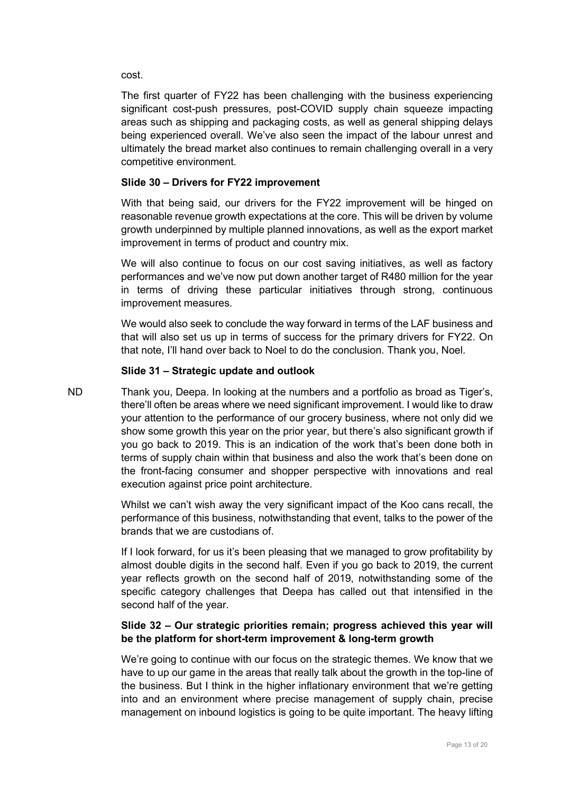cost.

The first quarter of FY22 has been challenging with the business experiencing significant cost-push pressures, post-COVID supply chain squeeze impacting areas such as shipping and packaging costs, as well as general shipping delays being experienced overall. We've also seen the impact of the labour unrest and ultimately the bread market also continues to remain challenging overall in a very competitive environment.

# **Slide 30 – Drivers for FY22 improvement**

With that being said, our drivers for the FY22 improvement will be hinged on reasonable revenue growth expectations at the core. This will be driven by volume growth underpinned by multiple planned innovations, as well as the export market improvement in terms of product and country mix.

We will also continue to focus on our cost saving initiatives, as well as factory performances and we've now put down another target of R480 million for the year in terms of driving these particular initiatives through strong, continuous improvement measures.

We would also seek to conclude the way forward in terms of the LAF business and that will also set us up in terms of success for the primary drivers for FY22. On that note, I'll hand over back to Noel to do the conclusion. Thank you, Noel.

#### **Slide 31 – Strategic update and outlook**

ND Thank you, Deepa. In looking at the numbers and a portfolio as broad as Tiger's, there'll often be areas where we need significant improvement. I would like to draw your attention to the performance of our grocery business, where not only did we show some growth this year on the prior year, but there's also significant growth if you go back to 2019. This is an indication of the work that's been done both in terms of supply chain within that business and also the work that's been done on the front-facing consumer and shopper perspective with innovations and real execution against price point architecture.

> Whilst we can't wish away the very significant impact of the Koo cans recall, the performance of this business, notwithstanding that event, talks to the power of the brands that we are custodians of.

> If I look forward, for us it's been pleasing that we managed to grow profitability by almost double digits in the second half. Even if you go back to 2019, the current year reflects growth on the second half of 2019, notwithstanding some of the specific category challenges that Deepa has called out that intensified in the second half of the year.

# **Slide 32 – Our strategic priorities remain; progress achieved this year will be the platform for short-term improvement & long-term growth**

We're going to continue with our focus on the strategic themes. We know that we have to up our game in the areas that really talk about the growth in the top-line of the business. But I think in the higher inflationary environment that we're getting into and an environment where precise management of supply chain, precise management on inbound logistics is going to be quite important. The heavy lifting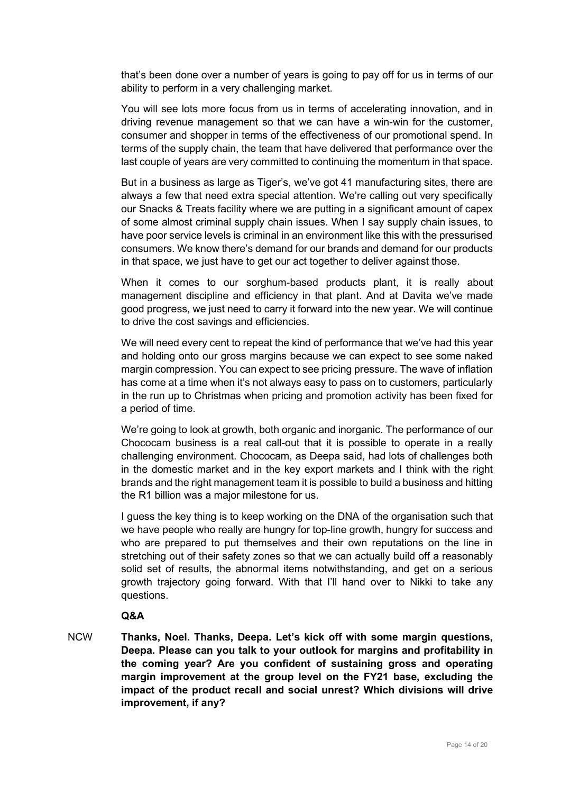that's been done over a number of years is going to pay off for us in terms of our ability to perform in a very challenging market.

You will see lots more focus from us in terms of accelerating innovation, and in driving revenue management so that we can have a win-win for the customer, consumer and shopper in terms of the effectiveness of our promotional spend. In terms of the supply chain, the team that have delivered that performance over the last couple of years are very committed to continuing the momentum in that space.

But in a business as large as Tiger's, we've got 41 manufacturing sites, there are always a few that need extra special attention. We're calling out very specifically our Snacks & Treats facility where we are putting in a significant amount of capex of some almost criminal supply chain issues. When I say supply chain issues, to have poor service levels is criminal in an environment like this with the pressurised consumers. We know there's demand for our brands and demand for our products in that space, we just have to get our act together to deliver against those.

When it comes to our sorghum-based products plant, it is really about management discipline and efficiency in that plant. And at Davita we've made good progress, we just need to carry it forward into the new year. We will continue to drive the cost savings and efficiencies.

We will need every cent to repeat the kind of performance that we've had this year and holding onto our gross margins because we can expect to see some naked margin compression. You can expect to see pricing pressure. The wave of inflation has come at a time when it's not always easy to pass on to customers, particularly in the run up to Christmas when pricing and promotion activity has been fixed for a period of time.

We're going to look at growth, both organic and inorganic. The performance of our Chococam business is a real call-out that it is possible to operate in a really challenging environment. Chococam, as Deepa said, had lots of challenges both in the domestic market and in the key export markets and I think with the right brands and the right management team it is possible to build a business and hitting the R1 billion was a major milestone for us.

I guess the key thing is to keep working on the DNA of the organisation such that we have people who really are hungry for top-line growth, hungry for success and who are prepared to put themselves and their own reputations on the line in stretching out of their safety zones so that we can actually build off a reasonably solid set of results, the abnormal items notwithstanding, and get on a serious growth trajectory going forward. With that I'll hand over to Nikki to take any questions.

#### **Q&A**

NCW **Thanks, Noel. Thanks, Deepa. Let's kick off with some margin questions, Deepa. Please can you talk to your outlook for margins and profitability in the coming year? Are you confident of sustaining gross and operating margin improvement at the group level on the FY21 base, excluding the impact of the product recall and social unrest? Which divisions will drive improvement, if any?**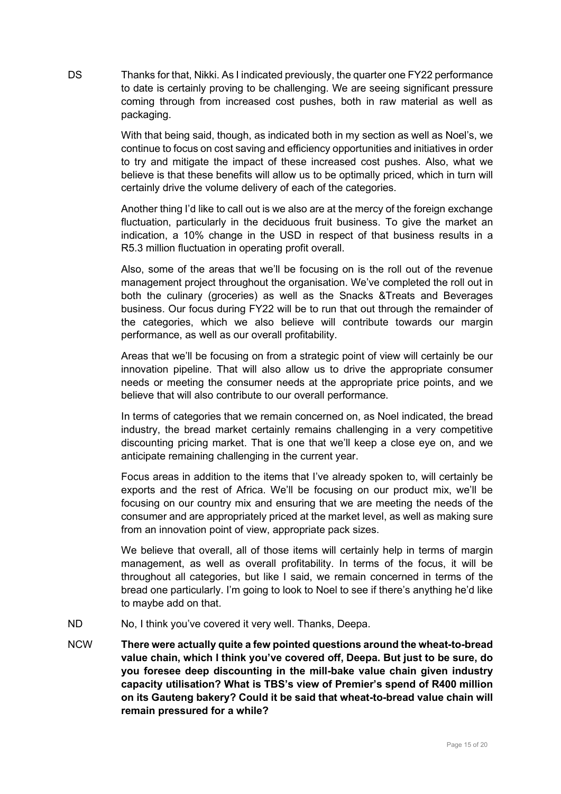DS Thanks for that, Nikki. As I indicated previously, the quarter one FY22 performance to date is certainly proving to be challenging. We are seeing significant pressure coming through from increased cost pushes, both in raw material as well as packaging.

> With that being said, though, as indicated both in my section as well as Noel's, we continue to focus on cost saving and efficiency opportunities and initiatives in order to try and mitigate the impact of these increased cost pushes. Also, what we believe is that these benefits will allow us to be optimally priced, which in turn will certainly drive the volume delivery of each of the categories.

> Another thing I'd like to call out is we also are at the mercy of the foreign exchange fluctuation, particularly in the deciduous fruit business. To give the market an indication, a 10% change in the USD in respect of that business results in a R5.3 million fluctuation in operating profit overall.

> Also, some of the areas that we'll be focusing on is the roll out of the revenue management project throughout the organisation. We've completed the roll out in both the culinary (groceries) as well as the Snacks &Treats and Beverages business. Our focus during FY22 will be to run that out through the remainder of the categories, which we also believe will contribute towards our margin performance, as well as our overall profitability.

> Areas that we'll be focusing on from a strategic point of view will certainly be our innovation pipeline. That will also allow us to drive the appropriate consumer needs or meeting the consumer needs at the appropriate price points, and we believe that will also contribute to our overall performance.

> In terms of categories that we remain concerned on, as Noel indicated, the bread industry, the bread market certainly remains challenging in a very competitive discounting pricing market. That is one that we'll keep a close eye on, and we anticipate remaining challenging in the current year.

> Focus areas in addition to the items that I've already spoken to, will certainly be exports and the rest of Africa. We'll be focusing on our product mix, we'll be focusing on our country mix and ensuring that we are meeting the needs of the consumer and are appropriately priced at the market level, as well as making sure from an innovation point of view, appropriate pack sizes.

> We believe that overall, all of those items will certainly help in terms of margin management, as well as overall profitability. In terms of the focus, it will be throughout all categories, but like I said, we remain concerned in terms of the bread one particularly. I'm going to look to Noel to see if there's anything he'd like to maybe add on that.

- ND No, I think you've covered it very well. Thanks, Deepa.
- NCW **There were actually quite a few pointed questions around the wheat-to-bread value chain, which I think you've covered off, Deepa. But just to be sure, do you foresee deep discounting in the mill-bake value chain given industry capacity utilisation? What is TBS's view of Premier's spend of R400 million on its Gauteng bakery? Could it be said that wheat-to-bread value chain will remain pressured for a while?**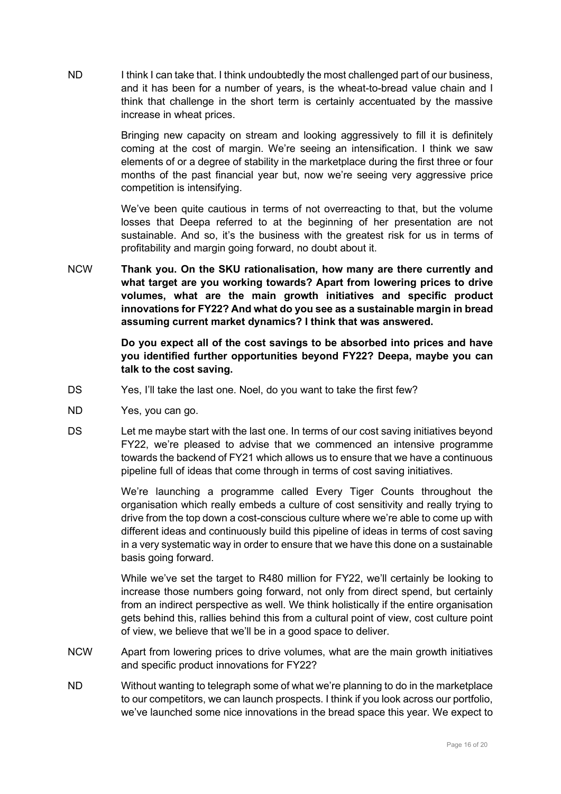ND I think I can take that. I think undoubtedly the most challenged part of our business, and it has been for a number of years, is the wheat-to-bread value chain and I think that challenge in the short term is certainly accentuated by the massive increase in wheat prices.

> Bringing new capacity on stream and looking aggressively to fill it is definitely coming at the cost of margin. We're seeing an intensification. I think we saw elements of or a degree of stability in the marketplace during the first three or four months of the past financial year but, now we're seeing very aggressive price competition is intensifying.

> We've been quite cautious in terms of not overreacting to that, but the volume losses that Deepa referred to at the beginning of her presentation are not sustainable. And so, it's the business with the greatest risk for us in terms of profitability and margin going forward, no doubt about it.

NCW **Thank you. On the SKU rationalisation, how many are there currently and what target are you working towards? Apart from lowering prices to drive volumes, what are the main growth initiatives and specific product innovations for FY22? And what do you see as a sustainable margin in bread assuming current market dynamics? I think that was answered.**

> **Do you expect all of the cost savings to be absorbed into prices and have you identified further opportunities beyond FY22? Deepa, maybe you can talk to the cost saving.**

- DS Yes, I'll take the last one. Noel, do you want to take the first few?
- ND Yes, you can go.
- DS Let me maybe start with the last one. In terms of our cost saving initiatives beyond FY22, we're pleased to advise that we commenced an intensive programme towards the backend of FY21 which allows us to ensure that we have a continuous pipeline full of ideas that come through in terms of cost saving initiatives.

We're launching a programme called Every Tiger Counts throughout the organisation which really embeds a culture of cost sensitivity and really trying to drive from the top down a cost-conscious culture where we're able to come up with different ideas and continuously build this pipeline of ideas in terms of cost saving in a very systematic way in order to ensure that we have this done on a sustainable basis going forward.

While we've set the target to R480 million for FY22, we'll certainly be looking to increase those numbers going forward, not only from direct spend, but certainly from an indirect perspective as well. We think holistically if the entire organisation gets behind this, rallies behind this from a cultural point of view, cost culture point of view, we believe that we'll be in a good space to deliver.

- NCW Apart from lowering prices to drive volumes, what are the main growth initiatives and specific product innovations for FY22?
- ND Without wanting to telegraph some of what we're planning to do in the marketplace to our competitors, we can launch prospects. I think if you look across our portfolio, we've launched some nice innovations in the bread space this year. We expect to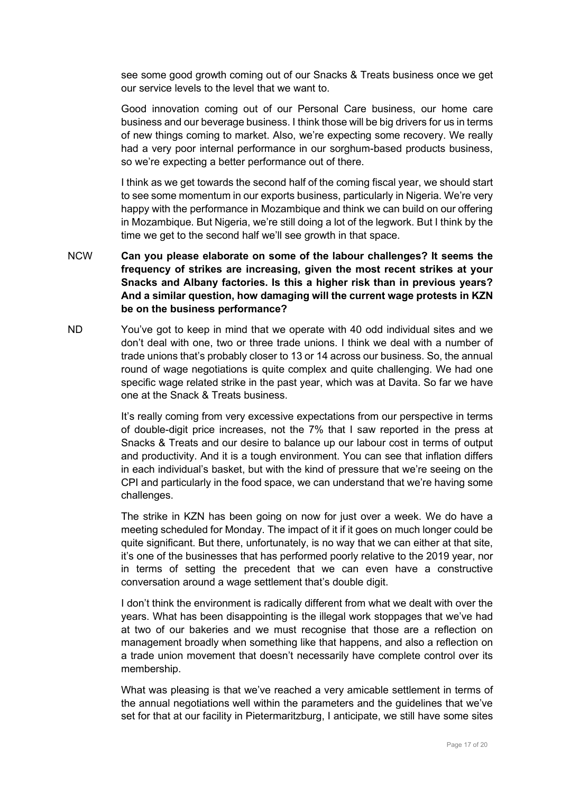see some good growth coming out of our Snacks & Treats business once we get our service levels to the level that we want to.

Good innovation coming out of our Personal Care business, our home care business and our beverage business. I think those will be big drivers for us in terms of new things coming to market. Also, we're expecting some recovery. We really had a very poor internal performance in our sorghum-based products business, so we're expecting a better performance out of there.

I think as we get towards the second half of the coming fiscal year, we should start to see some momentum in our exports business, particularly in Nigeria. We're very happy with the performance in Mozambique and think we can build on our offering in Mozambique. But Nigeria, we're still doing a lot of the legwork. But I think by the time we get to the second half we'll see growth in that space.

- NCW **Can you please elaborate on some of the labour challenges? It seems the frequency of strikes are increasing, given the most recent strikes at your Snacks and Albany factories. Is this a higher risk than in previous years? And a similar question, how damaging will the current wage protests in KZN be on the business performance?**
- ND You've got to keep in mind that we operate with 40 odd individual sites and we don't deal with one, two or three trade unions. I think we deal with a number of trade unions that's probably closer to 13 or 14 across our business. So, the annual round of wage negotiations is quite complex and quite challenging. We had one specific wage related strike in the past year, which was at Davita. So far we have one at the Snack & Treats business.

It's really coming from very excessive expectations from our perspective in terms of double-digit price increases, not the 7% that I saw reported in the press at Snacks & Treats and our desire to balance up our labour cost in terms of output and productivity. And it is a tough environment. You can see that inflation differs in each individual's basket, but with the kind of pressure that we're seeing on the CPI and particularly in the food space, we can understand that we're having some challenges.

The strike in KZN has been going on now for just over a week. We do have a meeting scheduled for Monday. The impact of it if it goes on much longer could be quite significant. But there, unfortunately, is no way that we can either at that site, it's one of the businesses that has performed poorly relative to the 2019 year, nor in terms of setting the precedent that we can even have a constructive conversation around a wage settlement that's double digit.

I don't think the environment is radically different from what we dealt with over the years. What has been disappointing is the illegal work stoppages that we've had at two of our bakeries and we must recognise that those are a reflection on management broadly when something like that happens, and also a reflection on a trade union movement that doesn't necessarily have complete control over its membership.

What was pleasing is that we've reached a very amicable settlement in terms of the annual negotiations well within the parameters and the guidelines that we've set for that at our facility in Pietermaritzburg, I anticipate, we still have some sites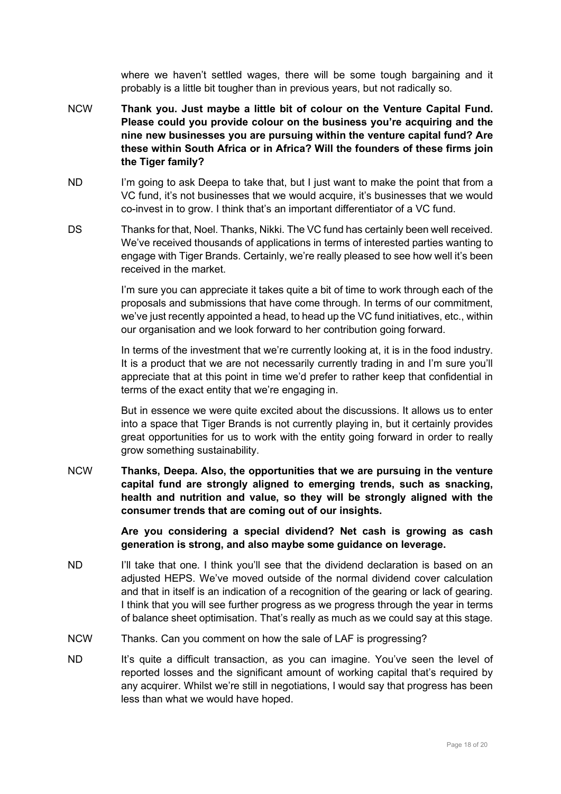where we haven't settled wages, there will be some tough bargaining and it probably is a little bit tougher than in previous years, but not radically so.

- NCW **Thank you. Just maybe a little bit of colour on the Venture Capital Fund. Please could you provide colour on the business you're acquiring and the nine new businesses you are pursuing within the venture capital fund? Are these within South Africa or in Africa? Will the founders of these firms join the Tiger family?**
- ND I'm going to ask Deepa to take that, but I just want to make the point that from a VC fund, it's not businesses that we would acquire, it's businesses that we would co-invest in to grow. I think that's an important differentiator of a VC fund.
- DS Thanks for that, Noel. Thanks, Nikki. The VC fund has certainly been well received. We've received thousands of applications in terms of interested parties wanting to engage with Tiger Brands. Certainly, we're really pleased to see how well it's been received in the market.

I'm sure you can appreciate it takes quite a bit of time to work through each of the proposals and submissions that have come through. In terms of our commitment, we've just recently appointed a head, to head up the VC fund initiatives, etc., within our organisation and we look forward to her contribution going forward.

In terms of the investment that we're currently looking at, it is in the food industry. It is a product that we are not necessarily currently trading in and I'm sure you'll appreciate that at this point in time we'd prefer to rather keep that confidential in terms of the exact entity that we're engaging in.

But in essence we were quite excited about the discussions. It allows us to enter into a space that Tiger Brands is not currently playing in, but it certainly provides great opportunities for us to work with the entity going forward in order to really grow something sustainability.

NCW **Thanks, Deepa. Also, the opportunities that we are pursuing in the venture capital fund are strongly aligned to emerging trends, such as snacking, health and nutrition and value, so they will be strongly aligned with the consumer trends that are coming out of our insights.**

> **Are you considering a special dividend? Net cash is growing as cash generation is strong, and also maybe some guidance on leverage.**

- ND I'll take that one. I think you'll see that the dividend declaration is based on an adjusted HEPS. We've moved outside of the normal dividend cover calculation and that in itself is an indication of a recognition of the gearing or lack of gearing. I think that you will see further progress as we progress through the year in terms of balance sheet optimisation. That's really as much as we could say at this stage.
- NCW Thanks. Can you comment on how the sale of LAF is progressing?
- ND It's quite a difficult transaction, as you can imagine. You've seen the level of reported losses and the significant amount of working capital that's required by any acquirer. Whilst we're still in negotiations, I would say that progress has been less than what we would have hoped.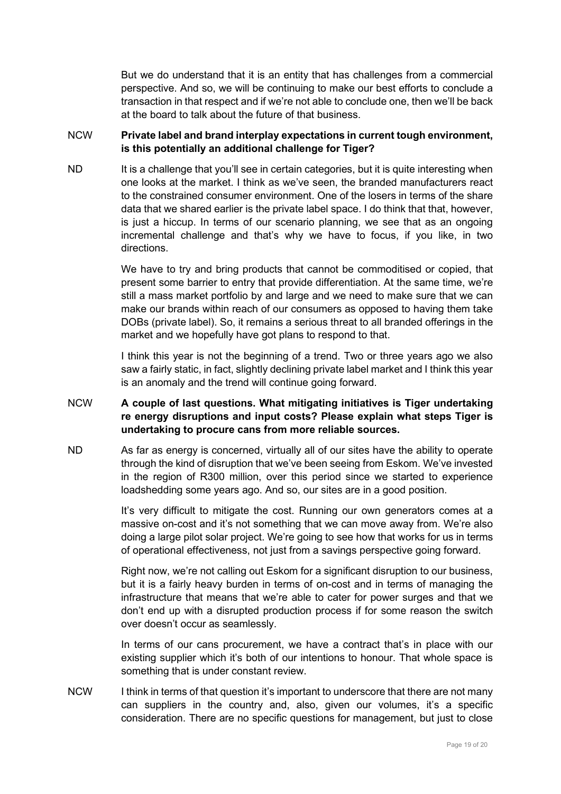But we do understand that it is an entity that has challenges from a commercial perspective. And so, we will be continuing to make our best efforts to conclude a transaction in that respect and if we're not able to conclude one, then we'll be back at the board to talk about the future of that business.

## NCW **Private label and brand interplay expectations in current tough environment, is this potentially an additional challenge for Tiger?**

ND It is a challenge that you'll see in certain categories, but it is quite interesting when one looks at the market. I think as we've seen, the branded manufacturers react to the constrained consumer environment. One of the losers in terms of the share data that we shared earlier is the private label space. I do think that that, however, is just a hiccup. In terms of our scenario planning, we see that as an ongoing incremental challenge and that's why we have to focus, if you like, in two directions.

> We have to try and bring products that cannot be commoditised or copied, that present some barrier to entry that provide differentiation. At the same time, we're still a mass market portfolio by and large and we need to make sure that we can make our brands within reach of our consumers as opposed to having them take DOBs (private label). So, it remains a serious threat to all branded offerings in the market and we hopefully have got plans to respond to that.

> I think this year is not the beginning of a trend. Two or three years ago we also saw a fairly static, in fact, slightly declining private label market and I think this year is an anomaly and the trend will continue going forward.

## NCW **A couple of last questions. What mitigating initiatives is Tiger undertaking re energy disruptions and input costs? Please explain what steps Tiger is undertaking to procure cans from more reliable sources.**

ND As far as energy is concerned, virtually all of our sites have the ability to operate through the kind of disruption that we've been seeing from Eskom. We've invested in the region of R300 million, over this period since we started to experience loadshedding some years ago. And so, our sites are in a good position.

> It's very difficult to mitigate the cost. Running our own generators comes at a massive on-cost and it's not something that we can move away from. We're also doing a large pilot solar project. We're going to see how that works for us in terms of operational effectiveness, not just from a savings perspective going forward.

> Right now, we're not calling out Eskom for a significant disruption to our business, but it is a fairly heavy burden in terms of on-cost and in terms of managing the infrastructure that means that we're able to cater for power surges and that we don't end up with a disrupted production process if for some reason the switch over doesn't occur as seamlessly.

> In terms of our cans procurement, we have a contract that's in place with our existing supplier which it's both of our intentions to honour. That whole space is something that is under constant review.

NCW I think in terms of that question it's important to underscore that there are not many can suppliers in the country and, also, given our volumes, it's a specific consideration. There are no specific questions for management, but just to close